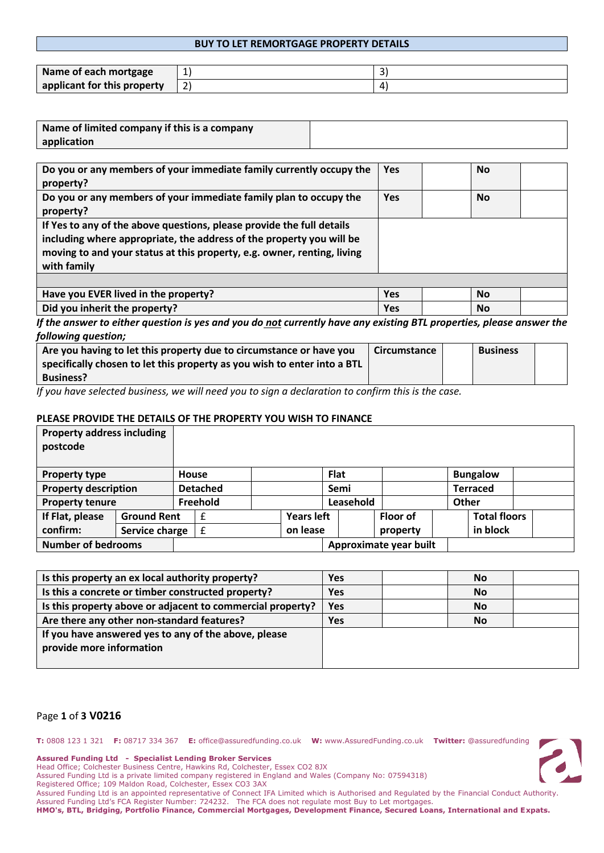### **BUY TO LET REMORTGAGE PROPERTY DETAILS**

| Name of each mortgage       | ᆂ |  |
|-----------------------------|---|--|
| applicant for this property |   |  |

| Name of limited company if this is a company |  |
|----------------------------------------------|--|
| application                                  |  |

| Do you or any members of your immediate family currently occupy the<br>property?                                                                                                                                                        | <b>Yes</b> | <b>No</b> |  |
|-----------------------------------------------------------------------------------------------------------------------------------------------------------------------------------------------------------------------------------------|------------|-----------|--|
| Do you or any members of your immediate family plan to occupy the<br>property?                                                                                                                                                          | <b>Yes</b> | <b>No</b> |  |
| If Yes to any of the above questions, please provide the full details<br>including where appropriate, the address of the property you will be<br>moving to and your status at this property, e.g. owner, renting, living<br>with family |            |           |  |
|                                                                                                                                                                                                                                         |            |           |  |
| Have you EVER lived in the property?                                                                                                                                                                                                    | Yes        | <b>No</b> |  |
| Did you inherit the property?                                                                                                                                                                                                           | Yes        | <b>No</b> |  |

*If the answer to either question is yes and you do not currently have any existing BTL properties, please answer the following question;*

| Are you having to let this property due to circumstance or have you      | Circumstance | <b>Business</b> |  |
|--------------------------------------------------------------------------|--------------|-----------------|--|
| specifically chosen to let this property as you wish to enter into a BTL |              |                 |  |
| <b>Business?</b>                                                         |              |                 |  |

*If you have selected business, we will need you to sign a declaration to confirm this is the case.* 

#### **PLEASE PROVIDE THE DETAILS OF THE PROPERTY YOU WISH TO FINANCE**

| <b>Property address including</b><br>postcode |                    |       |                 |                   |             |                        |       |                     |  |
|-----------------------------------------------|--------------------|-------|-----------------|-------------------|-------------|------------------------|-------|---------------------|--|
| <b>Property type</b>                          |                    | House |                 |                   | <b>Flat</b> |                        |       | <b>Bungalow</b>     |  |
| <b>Property description</b>                   |                    |       | <b>Detached</b> |                   | Semi        |                        |       | <b>Terraced</b>     |  |
| <b>Property tenure</b>                        |                    |       | Freehold        |                   | Leasehold   |                        | Other |                     |  |
| If Flat, please                               | <b>Ground Rent</b> |       | £               | <b>Years left</b> |             | <b>Floor of</b>        |       | <b>Total floors</b> |  |
| confirm:                                      | Service charge     |       | £               | on lease          |             | property               |       | in block            |  |
| <b>Number of bedrooms</b>                     |                    |       |                 |                   |             | Approximate year built |       |                     |  |

| Is this property an ex local authority property?           | <b>Yes</b> | <b>No</b> |  |
|------------------------------------------------------------|------------|-----------|--|
| Is this a concrete or timber constructed property?         | <b>Yes</b> | <b>No</b> |  |
| Is this property above or adjacent to commercial property? | <b>Yes</b> | <b>No</b> |  |
| Are there any other non-standard features?                 | <b>Yes</b> | <b>No</b> |  |
| If you have answered yes to any of the above, please       |            |           |  |
| provide more information                                   |            |           |  |
|                                                            |            |           |  |

### Page **1** of **3 V0216**

**T:** 0808 123 1 321 **F:** 08717 334 367 **E:** office@assuredfunding.co.uk **W:** www.AssuredFunding.co.uk **Twitter:** @assuredfunding



**Assured Funding Ltd - Specialist Lending Broker Services**

Head Office; Colchester Business Centre, Hawkins Rd, Colchester, Essex CO2 8JX

Assured Funding Ltd is a private limited company registered in England and Wales (Company No: 07594318)

Registered Office; 109 Maldon Road, Colchester, Essex CO3 3AX

Assured Funding Ltd is an appointed representative of Connect IFA Limited which is Authorised and Regulated by the Financial Conduct Authority. Assured Funding Ltd's FCA Register Number: 724232. The FCA does not regulate most Buy to Let mortgages.

**HMO's, BTL, Bridging, Portfolio Finance, Commercial Mortgages, Development Finance, Secured Loans, International and Expats.**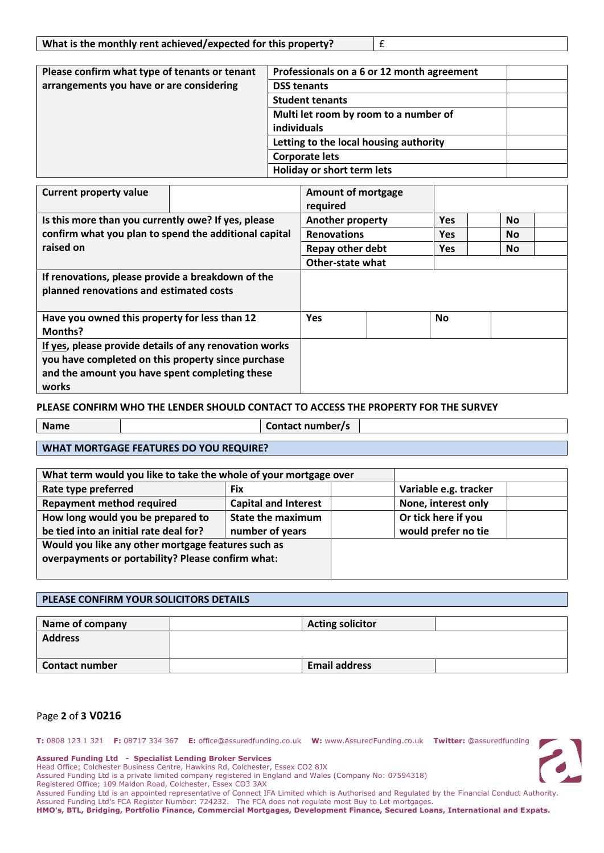| What is the monthly rent achieved/expected for this property? |
|---------------------------------------------------------------|
|---------------------------------------------------------------|

| Please confirm what type of tenants or tenant | Professionals on a 6 or 12 month agreement |  |
|-----------------------------------------------|--------------------------------------------|--|
| arrangements you have or are considering      | <b>DSS tenants</b>                         |  |
|                                               | <b>Student tenants</b>                     |  |
|                                               | Multi let room by room to a number of      |  |
|                                               | individuals                                |  |
|                                               | Letting to the local housing authority     |  |
|                                               | <b>Corporate lets</b>                      |  |
|                                               | Holiday or short term lets                 |  |

| <b>Current property value</b>                          | <b>Amount of mortgage</b> |            |           |
|--------------------------------------------------------|---------------------------|------------|-----------|
|                                                        | required                  |            |           |
| Is this more than you currently owe? If yes, please    | Another property          | <b>Yes</b> | <b>No</b> |
| confirm what you plan to spend the additional capital  | <b>Renovations</b>        | <b>Yes</b> | <b>No</b> |
| raised on                                              | Repay other debt          | <b>Yes</b> | <b>No</b> |
|                                                        | <b>Other-state what</b>   |            |           |
| If renovations, please provide a breakdown of the      |                           |            |           |
| planned renovations and estimated costs                |                           |            |           |
|                                                        |                           |            |           |
| Have you owned this property for less than 12          | <b>Yes</b>                | <b>No</b>  |           |
| <b>Months?</b>                                         |                           |            |           |
| If yes, please provide details of any renovation works |                           |            |           |
| you have completed on this property since purchase     |                           |            |           |
| and the amount you have spent completing these         |                           |            |           |
| works                                                  |                           |            |           |
|                                                        |                           |            |           |

# **PLEASE CONFIRM WHO THE LENDER SHOULD CONTACT TO ACCESS THE PROPERTY FOR THE SURVEY**

**Name Contact number/s** 

# **WHAT MORTGAGE FEATURES DO YOU REQUIRE?**

| What term would you like to take the whole of your mortgage over |                             |  |                       |  |
|------------------------------------------------------------------|-----------------------------|--|-----------------------|--|
| Rate type preferred                                              | Fix                         |  | Variable e.g. tracker |  |
| <b>Repayment method required</b>                                 | <b>Capital and Interest</b> |  | None, interest only   |  |
| How long would you be prepared to                                | <b>State the maximum</b>    |  | Or tick here if you   |  |
| be tied into an initial rate deal for?                           | number of years             |  | would prefer no tie   |  |
| Would you like any other mortgage features such as               |                             |  |                       |  |
| overpayments or portability? Please confirm what:                |                             |  |                       |  |
|                                                                  |                             |  |                       |  |

#### **PLEASE CONFIRM YOUR SOLICITORS DETAILS**

| Name of company       | <b>Acting solicitor</b> |  |
|-----------------------|-------------------------|--|
| <b>Address</b>        |                         |  |
|                       |                         |  |
| <b>Contact number</b> | <b>Email address</b>    |  |

# Page **2** of **3 V0216**

**T:** 0808 123 1 321 **F:** 08717 334 367 **E:** office@assuredfunding.co.uk **W:** www.AssuredFunding.co.uk **Twitter:** @assuredfunding

#### **Assured Funding Ltd - Specialist Lending Broker Services**

Head Office; Colchester Business Centre, Hawkins Rd, Colchester, Essex CO2 8JX

Assured Funding Ltd is a private limited company registered in England and Wales (Company No: 07594318)

Registered Office; 109 Maldon Road, Colchester, Essex CO3 3AX

Assured Funding Ltd is an appointed representative of Connect IFA Limited which is Authorised and Regulated by the Financial Conduct Authority. Assured Funding Ltd's FCA Register Number: 724232. The FCA does not regulate most Buy to Let mortgages.

**HMO's, BTL, Bridging, Portfolio Finance, Commercial Mortgages, Development Finance, Secured Loans, International and Expats.**